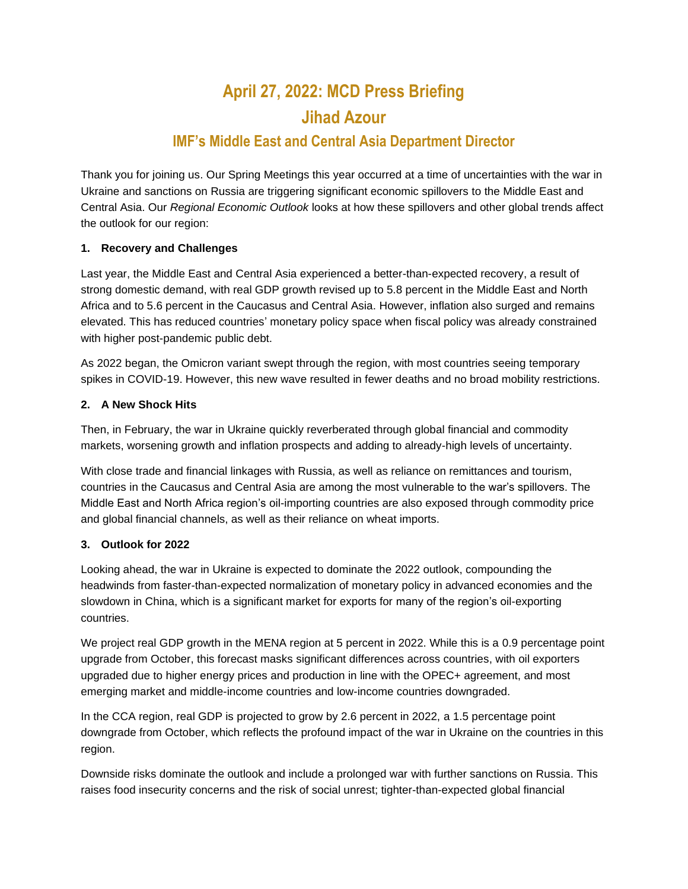# **April 27, 2022: MCD Press Briefing Jihad Azour IMF's Middle East and Central Asia Department Director**

# Thank you for joining us. Our Spring Meetings this year occurred at a time of uncertainties with the war in Ukraine and sanctions on Russia are triggering significant economic spillovers to the Middle East and Central Asia. Our *Regional Economic Outlook* looks at how these spillovers and other global trends affect

## **1. Recovery and Challenges**

the outlook for our region:

Last year, the Middle East and Central Asia experienced a better-than-expected recovery, a result of strong domestic demand, with real GDP growth revised up to 5.8 percent in the Middle East and North Africa and to 5.6 percent in the Caucasus and Central Asia. However, inflation also surged and remains elevated. This has reduced countries' monetary policy space when fiscal policy was already constrained with higher post-pandemic public debt.

As 2022 began, the Omicron variant swept through the region, with most countries seeing temporary spikes in COVID-19. However, this new wave resulted in fewer deaths and no broad mobility restrictions.

#### **2. A New Shock Hits**

Then, in February, the war in Ukraine quickly reverberated through global financial and commodity markets, worsening growth and inflation prospects and adding to already-high levels of uncertainty.

With close trade and financial linkages with Russia, as well as reliance on remittances and tourism, countries in the Caucasus and Central Asia are among the most vulnerable to the war's spillovers. The Middle East and North Africa region's oil-importing countries are also exposed through commodity price and global financial channels, as well as their reliance on wheat imports.

#### **3. Outlook for 2022**

Looking ahead, the war in Ukraine is expected to dominate the 2022 outlook, compounding the headwinds from faster-than-expected normalization of monetary policy in advanced economies and the slowdown in China, which is a significant market for exports for many of the region's oil-exporting countries.

We project real GDP growth in the MENA region at 5 percent in 2022. While this is a 0.9 percentage point upgrade from October, this forecast masks significant differences across countries, with oil exporters upgraded due to higher energy prices and production in line with the OPEC+ agreement, and most emerging market and middle-income countries and low-income countries downgraded.

In the CCA region, real GDP is projected to grow by 2.6 percent in 2022, a 1.5 percentage point downgrade from October, which reflects the profound impact of the war in Ukraine on the countries in this region.

Downside risks dominate the outlook and include a prolonged war with further sanctions on Russia. This raises food insecurity concerns and the risk of social unrest; tighter-than-expected global financial